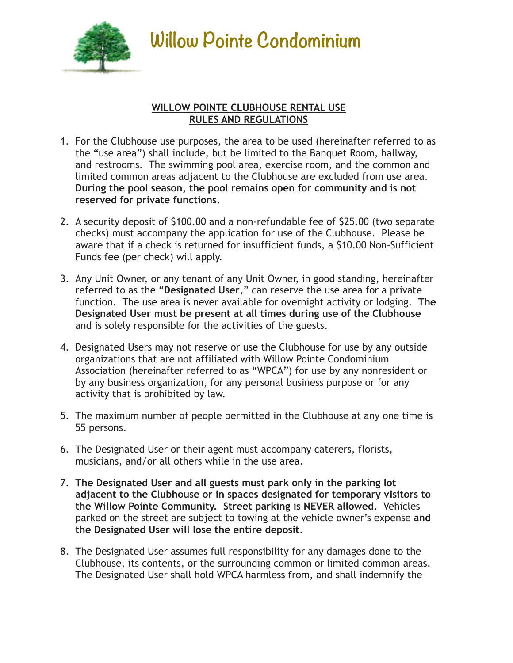

## **WILLOW POINTE CLUBHOUSE RENTAL USE RULES AND REGULATIONS**

- 1. For the Clubhouse use purposes, the area to be used (hereinafter referred to as the "use area") shall include, but be limited to the Banquet Room, hallway, and restrooms. The swimming pool area, exercise room, and the common and limited common areas adjacent to the Clubhouse are excluded from use area. **During the pool season, the pool remains open for community and is not reserved for private functions.**
- 2. A security deposit of \$100.00 and a non-refundable fee of \$25.00 (two separate checks) must accompany the application for use of the Clubhouse. Please be aware that if a check is returned for insufficient funds, a \$10.00 Non-Sufficient Funds fee (per check) will apply.
- 3. Any Unit Owner, or any tenant of any Unit Owner, in good standing, hereinafter referred to as the "**Designated User**," can reserve the use area for a private function. The use area is never available for overnight activity or lodging. **The Designated User must be present at all times during use of the Clubhouse** and is solely responsible for the activities of the guests.
- 4. Designated Users may not reserve or use the Clubhouse for use by any outside organizations that are not affiliated with Willow Pointe Condominium Association (hereinafter referred to as "WPCA") for use by any nonresident or by any business organization, for any personal business purpose or for any activity that is prohibited by law.
- 5. The maximum number of people permitted in the Clubhouse at any one time is 55 persons.
- 6. The Designated User or their agent must accompany caterers, florists, musicians, and/or all others while in the use area.
- 7. **The Designated User and all guests must park only in the parking lot adjacent to the Clubhouse or in spaces designated for temporary visitors to the Willow Pointe Community. Street parking is NEVER allowed.** Vehicles parked on the street are subject to towing at the vehicle owner's expense **and the Designated User will lose the entire deposit**.
- 8. The Designated User assumes full responsibility for any damages done to the Clubhouse, its contents, or the surrounding common or limited common areas. The Designated User shall hold WPCA harmless from, and shall indemnify the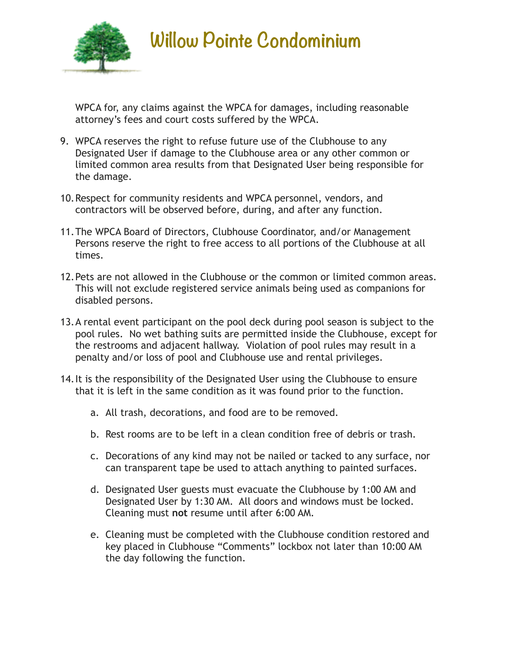

WPCA for, any claims against the WPCA for damages, including reasonable attorney's fees and court costs suffered by the WPCA.

- 9. WPCA reserves the right to refuse future use of the Clubhouse to any Designated User if damage to the Clubhouse area or any other common or limited common area results from that Designated User being responsible for the damage.
- 10.Respect for community residents and WPCA personnel, vendors, and contractors will be observed before, during, and after any function.
- 11.The WPCA Board of Directors, Clubhouse Coordinator, and/or Management Persons reserve the right to free access to all portions of the Clubhouse at all times.
- 12.Pets are not allowed in the Clubhouse or the common or limited common areas. This will not exclude registered service animals being used as companions for disabled persons.
- 13.A rental event participant on the pool deck during pool season is subject to the pool rules. No wet bathing suits are permitted inside the Clubhouse, except for the restrooms and adjacent hallway. Violation of pool rules may result in a penalty and/or loss of pool and Clubhouse use and rental privileges.
- 14.It is the responsibility of the Designated User using the Clubhouse to ensure that it is left in the same condition as it was found prior to the function.
	- a. All trash, decorations, and food are to be removed.
	- b. Rest rooms are to be left in a clean condition free of debris or trash.
	- c. Decorations of any kind may not be nailed or tacked to any surface, nor can transparent tape be used to attach anything to painted surfaces.
	- d. Designated User guests must evacuate the Clubhouse by 1:00 AM and Designated User by 1:30 AM. All doors and windows must be locked. Cleaning must **not** resume until after 6:00 AM.
	- e. Cleaning must be completed with the Clubhouse condition restored and key placed in Clubhouse "Comments" lockbox not later than 10:00 AM the day following the function.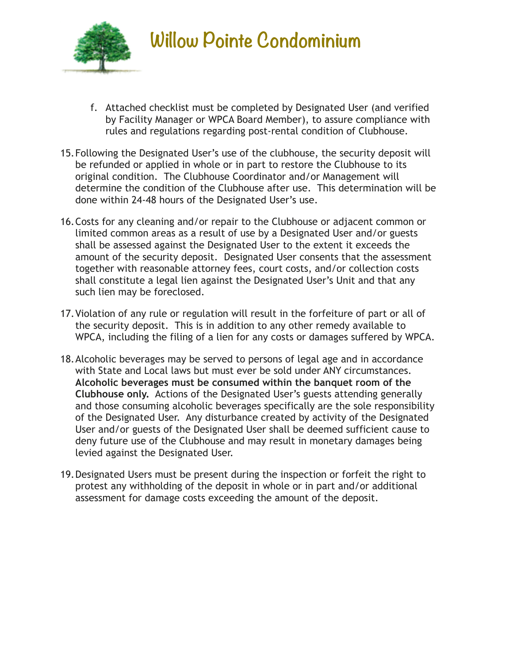

- f. Attached checklist must be completed by Designated User (and verified by Facility Manager or WPCA Board Member), to assure compliance with rules and regulations regarding post-rental condition of Clubhouse.
- 15.Following the Designated User's use of the clubhouse, the security deposit will be refunded or applied in whole or in part to restore the Clubhouse to its original condition. The Clubhouse Coordinator and/or Management will determine the condition of the Clubhouse after use. This determination will be done within 24-48 hours of the Designated User's use.
- 16.Costs for any cleaning and/or repair to the Clubhouse or adjacent common or limited common areas as a result of use by a Designated User and/or guests shall be assessed against the Designated User to the extent it exceeds the amount of the security deposit. Designated User consents that the assessment together with reasonable attorney fees, court costs, and/or collection costs shall constitute a legal lien against the Designated User's Unit and that any such lien may be foreclosed.
- 17.Violation of any rule or regulation will result in the forfeiture of part or all of the security deposit. This is in addition to any other remedy available to WPCA, including the filing of a lien for any costs or damages suffered by WPCA.
- 18.Alcoholic beverages may be served to persons of legal age and in accordance with State and Local laws but must ever be sold under ANY circumstances. **Alcoholic beverages must be consumed within the banquet room of the Clubhouse only.** Actions of the Designated User's guests attending generally and those consuming alcoholic beverages specifically are the sole responsibility of the Designated User. Any disturbance created by activity of the Designated User and/or guests of the Designated User shall be deemed sufficient cause to deny future use of the Clubhouse and may result in monetary damages being levied against the Designated User.
- 19.Designated Users must be present during the inspection or forfeit the right to protest any withholding of the deposit in whole or in part and/or additional assessment for damage costs exceeding the amount of the deposit.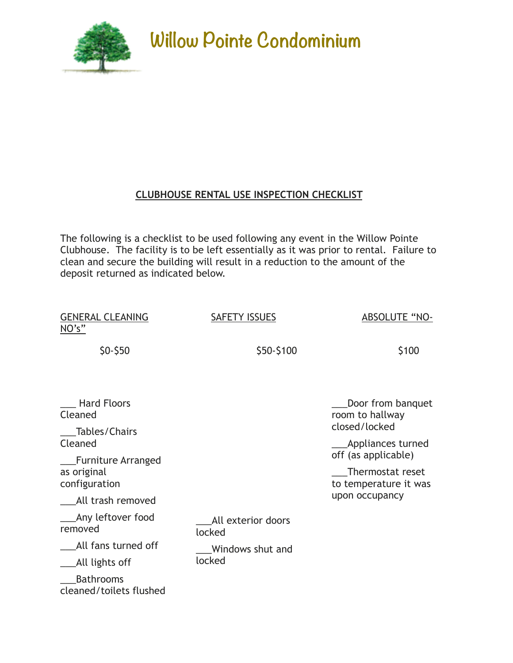

## **CLUBHOUSE RENTAL USE INSPECTION CHECKLIST**

The following is a checklist to be used following any event in the Willow Pointe Clubhouse. The facility is to be left essentially as it was prior to rental. Failure to clean and secure the building will result in a reduction to the amount of the deposit returned as indicated below.

| <b>GENERAL CLEANING</b><br>NO's"                                                      | <b>SAFETY ISSUES</b>         | <b>ABSOLUTE "NO-</b>                                                               |
|---------------------------------------------------------------------------------------|------------------------------|------------------------------------------------------------------------------------|
| $$0-$50$                                                                              | \$50-\$100                   | \$100                                                                              |
| <b>Hard Floors</b><br>Cleaned<br>Tables/Chairs<br>Cleaned                             |                              | Door from banquet<br>room to hallway<br>closed/locked<br><b>Appliances turned</b>  |
| _Furniture Arranged<br>as original<br>configuration<br>All trash removed              |                              | off (as applicable)<br>Thermostat reset<br>to temperature it was<br>upon occupancy |
| _Any leftover food<br>removed                                                         | All exterior doors<br>locked |                                                                                    |
| All fans turned off<br>_All lights off<br><b>Bathrooms</b><br>cleaned/toilets flushed | Windows shut and<br>locked   |                                                                                    |
|                                                                                       |                              |                                                                                    |